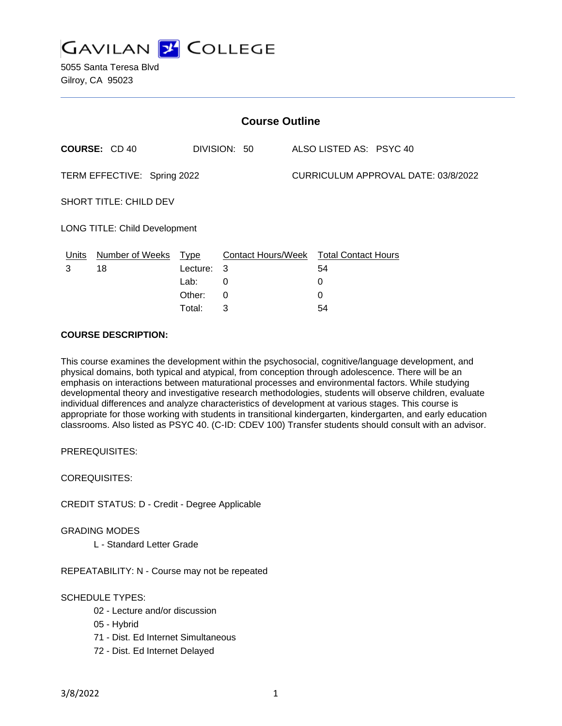

| <b>Course Outline</b>         |                      |             |              |                                     |                                        |
|-------------------------------|----------------------|-------------|--------------|-------------------------------------|----------------------------------------|
|                               | <b>COURSE: CD 40</b> |             | DIVISION: 50 |                                     | ALSO LISTED AS: PSYC 40                |
| TERM EFFECTIVE: Spring 2022   |                      |             |              | CURRICULUM APPROVAL DATE: 03/8/2022 |                                        |
| <b>SHORT TITLE: CHILD DEV</b> |                      |             |              |                                     |                                        |
| LONG TITLE: Child Development |                      |             |              |                                     |                                        |
| Units                         | Number of Weeks      | <b>Type</b> |              |                                     | Contact Hours/Week Total Contact Hours |
| 3                             | 18                   | Lecture:    | 3            |                                     | 54                                     |
|                               |                      | Lab:        | 0            |                                     | 0                                      |
|                               |                      | Other:      | 0            |                                     | 0                                      |
|                               |                      | Total:      | 3            |                                     | 54                                     |

### **COURSE DESCRIPTION:**

This course examines the development within the psychosocial, cognitive/language development, and physical domains, both typical and atypical, from conception through adolescence. There will be an emphasis on interactions between maturational processes and environmental factors. While studying developmental theory and investigative research methodologies, students will observe children, evaluate individual differences and analyze characteristics of development at various stages. This course is appropriate for those working with students in transitional kindergarten, kindergarten, and early education classrooms. Also listed as PSYC 40. (C-ID: CDEV 100) Transfer students should consult with an advisor.

PREREQUISITES:

COREQUISITES:

CREDIT STATUS: D - Credit - Degree Applicable

GRADING MODES

L - Standard Letter Grade

REPEATABILITY: N - Course may not be repeated

## SCHEDULE TYPES:

- 02 Lecture and/or discussion
- 05 Hybrid
- 71 Dist. Ed Internet Simultaneous
- 72 Dist. Ed Internet Delayed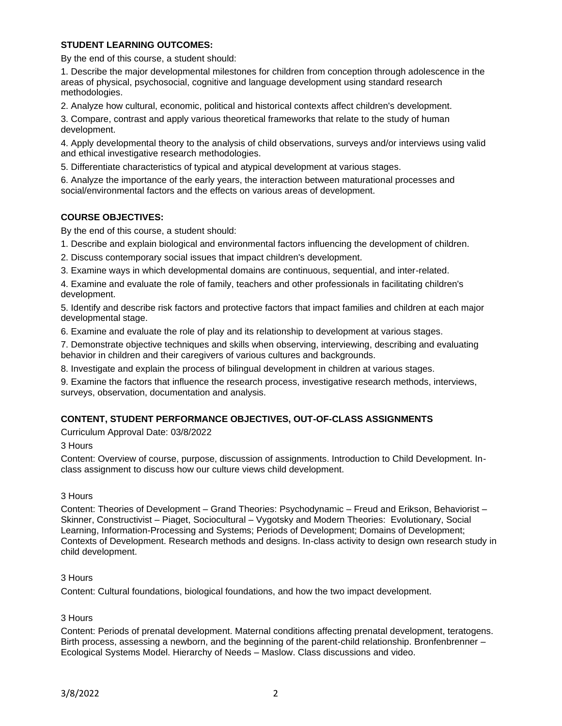## **STUDENT LEARNING OUTCOMES:**

By the end of this course, a student should:

1. Describe the major developmental milestones for children from conception through adolescence in the areas of physical, psychosocial, cognitive and language development using standard research methodologies.

2. Analyze how cultural, economic, political and historical contexts affect children's development.

3. Compare, contrast and apply various theoretical frameworks that relate to the study of human development.

4. Apply developmental theory to the analysis of child observations, surveys and/or interviews using valid and ethical investigative research methodologies.

5. Differentiate characteristics of typical and atypical development at various stages.

6. Analyze the importance of the early years, the interaction between maturational processes and social/environmental factors and the effects on various areas of development.

### **COURSE OBJECTIVES:**

By the end of this course, a student should:

1. Describe and explain biological and environmental factors influencing the development of children.

2. Discuss contemporary social issues that impact children's development.

3. Examine ways in which developmental domains are continuous, sequential, and inter-related.

4. Examine and evaluate the role of family, teachers and other professionals in facilitating children's development.

5. Identify and describe risk factors and protective factors that impact families and children at each major developmental stage.

6. Examine and evaluate the role of play and its relationship to development at various stages.

7. Demonstrate objective techniques and skills when observing, interviewing, describing and evaluating behavior in children and their caregivers of various cultures and backgrounds.

8. Investigate and explain the process of bilingual development in children at various stages.

9. Examine the factors that influence the research process, investigative research methods, interviews, surveys, observation, documentation and analysis.

## **CONTENT, STUDENT PERFORMANCE OBJECTIVES, OUT-OF-CLASS ASSIGNMENTS**

Curriculum Approval Date: 03/8/2022

3 Hours

Content: Overview of course, purpose, discussion of assignments. Introduction to Child Development. Inclass assignment to discuss how our culture views child development.

### 3 Hours

Content: Theories of Development – Grand Theories: Psychodynamic – Freud and Erikson, Behaviorist – Skinner, Constructivist – Piaget, Sociocultural – Vygotsky and Modern Theories: Evolutionary, Social Learning, Information-Processing and Systems; Periods of Development; Domains of Development; Contexts of Development. Research methods and designs. In-class activity to design own research study in child development.

### 3 Hours

Content: Cultural foundations, biological foundations, and how the two impact development.

### 3 Hours

Content: Periods of prenatal development. Maternal conditions affecting prenatal development, teratogens. Birth process, assessing a newborn, and the beginning of the parent-child relationship. Bronfenbrenner – Ecological Systems Model. Hierarchy of Needs – Maslow. Class discussions and video.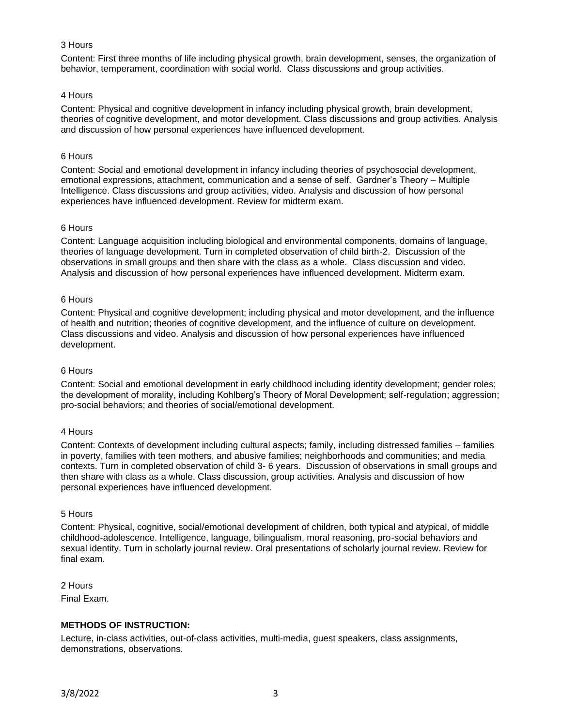## 3 Hours

Content: First three months of life including physical growth, brain development, senses, the organization of behavior, temperament, coordination with social world. Class discussions and group activities.

### 4 Hours

Content: Physical and cognitive development in infancy including physical growth, brain development, theories of cognitive development, and motor development. Class discussions and group activities. Analysis and discussion of how personal experiences have influenced development.

### 6 Hours

Content: Social and emotional development in infancy including theories of psychosocial development, emotional expressions, attachment, communication and a sense of self. Gardner's Theory – Multiple Intelligence. Class discussions and group activities, video. Analysis and discussion of how personal experiences have influenced development. Review for midterm exam.

### 6 Hours

Content: Language acquisition including biological and environmental components, domains of language, theories of language development. Turn in completed observation of child birth-2. Discussion of the observations in small groups and then share with the class as a whole. Class discussion and video. Analysis and discussion of how personal experiences have influenced development. Midterm exam.

### 6 Hours

Content: Physical and cognitive development; including physical and motor development, and the influence of health and nutrition; theories of cognitive development, and the influence of culture on development. Class discussions and video. Analysis and discussion of how personal experiences have influenced development.

### 6 Hours

Content: Social and emotional development in early childhood including identity development; gender roles; the development of morality, including Kohlberg's Theory of Moral Development; self-regulation; aggression; pro-social behaviors; and theories of social/emotional development.

### 4 Hours

Content: Contexts of development including cultural aspects; family, including distressed families – families in poverty, families with teen mothers, and abusive families; neighborhoods and communities; and media contexts. Turn in completed observation of child 3- 6 years. Discussion of observations in small groups and then share with class as a whole. Class discussion, group activities. Analysis and discussion of how personal experiences have influenced development.

### 5 Hours

Content: Physical, cognitive, social/emotional development of children, both typical and atypical, of middle childhood-adolescence. Intelligence, language, bilingualism, moral reasoning, pro-social behaviors and sexual identity. Turn in scholarly journal review. Oral presentations of scholarly journal review. Review for final exam.

2 Hours Final Exam.

## **METHODS OF INSTRUCTION:**

Lecture, in-class activities, out-of-class activities, multi-media, guest speakers, class assignments, demonstrations, observations.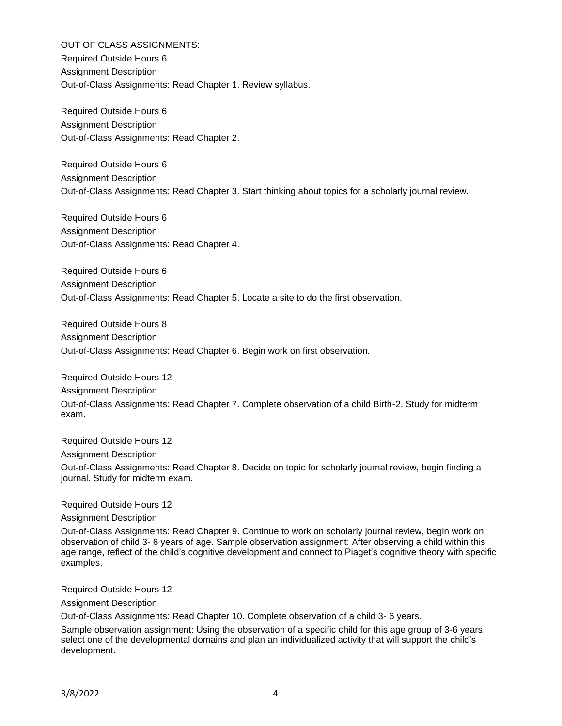OUT OF CLASS ASSIGNMENTS: Required Outside Hours 6 Assignment Description Out-of-Class Assignments: Read Chapter 1. Review syllabus.

Required Outside Hours 6 Assignment Description Out-of-Class Assignments: Read Chapter 2.

Required Outside Hours 6 Assignment Description Out-of-Class Assignments: Read Chapter 3. Start thinking about topics for a scholarly journal review.

Required Outside Hours 6 Assignment Description Out-of-Class Assignments: Read Chapter 4.

Required Outside Hours 6 Assignment Description Out-of-Class Assignments: Read Chapter 5. Locate a site to do the first observation.

Required Outside Hours 8 Assignment Description Out-of-Class Assignments: Read Chapter 6. Begin work on first observation.

Required Outside Hours 12 Assignment Description Out-of-Class Assignments: Read Chapter 7. Complete observation of a child Birth-2. Study for midterm exam.

Required Outside Hours 12

Assignment Description

Out-of-Class Assignments: Read Chapter 8. Decide on topic for scholarly journal review, begin finding a journal. Study for midterm exam.

Required Outside Hours 12

Assignment Description

Out-of-Class Assignments: Read Chapter 9. Continue to work on scholarly journal review, begin work on observation of child 3- 6 years of age. Sample observation assignment: After observing a child within this age range, reflect of the child's cognitive development and connect to Piaget's cognitive theory with specific examples.

Required Outside Hours 12

Assignment Description

Out-of-Class Assignments: Read Chapter 10. Complete observation of a child 3- 6 years.

Sample observation assignment: Using the observation of a specific child for this age group of 3-6 years, select one of the developmental domains and plan an individualized activity that will support the child's development.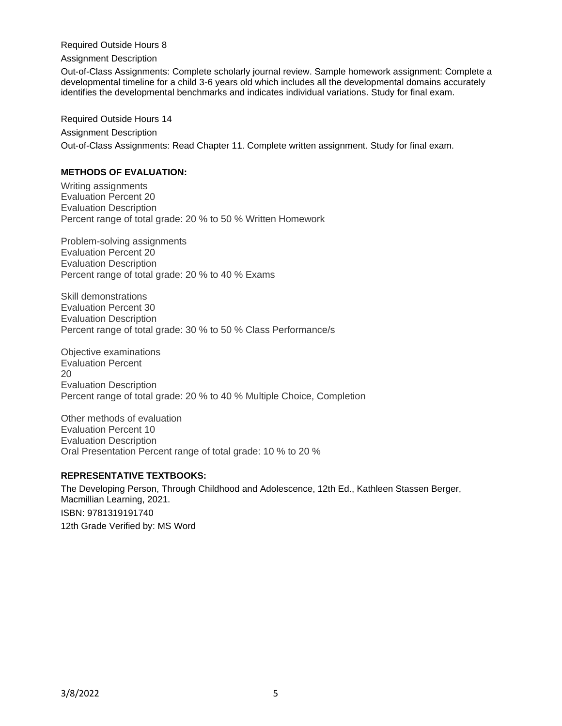Required Outside Hours 8

Assignment Description

Out-of-Class Assignments: Complete scholarly journal review. Sample homework assignment: Complete a developmental timeline for a child 3-6 years old which includes all the developmental domains accurately identifies the developmental benchmarks and indicates individual variations. Study for final exam.

Required Outside Hours 14 Assignment Description Out-of-Class Assignments: Read Chapter 11. Complete written assignment. Study for final exam.

# **METHODS OF EVALUATION:**

Writing assignments Evaluation Percent 20 Evaluation Description Percent range of total grade: 20 % to 50 % Written Homework

Problem-solving assignments Evaluation Percent 20 Evaluation Description Percent range of total grade: 20 % to 40 % Exams

Skill demonstrations Evaluation Percent 30 Evaluation Description Percent range of total grade: 30 % to 50 % Class Performance/s

Objective examinations Evaluation Percent 20 Evaluation Description Percent range of total grade: 20 % to 40 % Multiple Choice, Completion

Other methods of evaluation Evaluation Percent 10 Evaluation Description Oral Presentation Percent range of total grade: 10 % to 20 %

## **REPRESENTATIVE TEXTBOOKS:**

The Developing Person, Through Childhood and Adolescence, 12th Ed., Kathleen Stassen Berger, Macmillian Learning, 2021. ISBN: 9781319191740 12th Grade Verified by: MS Word